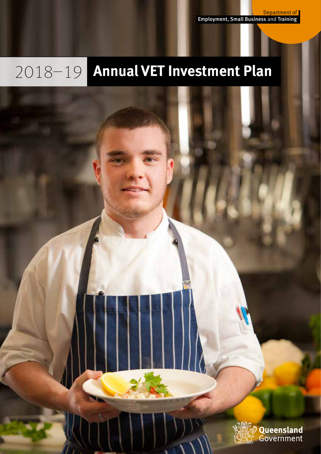Department of Employment, Small Business and Training

# 2018–19 **Annual VET Investment Plan**

Queensland Government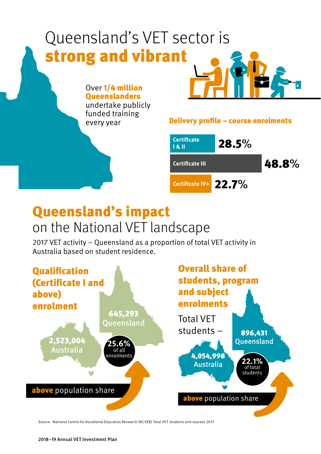## Delivery profile – course enrolments 28.5% 48.8% 22.7% **Certificate IV+ Certificate I & II Certificate III** Over 1/4 million **Queenslanders** undertake publicly funded training every year Queensland's VET sector is strong and vibrant

## Queensland's impact on the National VET landscape

2017 VET activity – Queensland as a proportion of total VET activity in Australia based on student residence.



Source - National Centre for Vocational Education Research (NCVER) Total VET students and courses 2017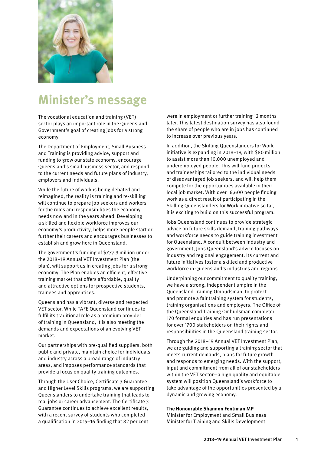

## **Minister's message**

The vocational education and training (VET) sector plays an important role in the Queensland Government's goal of creating jobs for a strong economy.

The Department of Employment, Small Business and Training is providing advice, support and funding to grow our state economy, encourage Queensland's small business sector, and respond to the current needs and future plans of industry, employers and individuals.

While the future of work is being debated and reimagined, the reality is training and re-skilling will continue to prepare job seekers and workers for the roles and responsibilities the economy needs now and in the years ahead. Developing a skilled and flexible workforce improves our economy's productivity, helps more people start or further their careers and encourages businesses to establish and grow here in Queensland.

The government's funding of \$777.9 million under the 2018–19 Annual VET Investment Plan (the plan), will support us in creating jobs for a strong economy. The Plan enables an efficient, effective training market that offers affordable, quality and attractive options for prospective students, trainees and apprentices.

Queensland has a vibrant, diverse and respected VET sector. While TAFE Queensland continues to fulfil its traditional role as a premium provider of training in Queensland, it is also meeting the demands and expectations of an evolving VET market.

Our partnerships with pre-qualified suppliers, both public and private, maintain choice for individuals and industry across a broad range of industry areas, and imposes performance standards that provide a focus on quality training outcomes.

Through the User Choice, Certificate 3 Guarantee and Higher Level Skills programs, we are supporting Queenslanders to undertake training that leads to real jobs or career advancement. The Certificate 3 Guarantee continues to achieve excellent results, with a recent survey of students who completed a qualification in 2015–16 finding that 82 per cent

were in employment or further training 12 months later. This latest destination survey has also found the share of people who are in jobs has continued to increase over previous years.

In addition, the Skilling Queenslanders for Work initiative is expanding in 2018–19, with \$80 million to assist more than 10,000 unemployed and underemployed people. This will fund projects and traineeships tailored to the individual needs of disadvantaged job seekers, and will help them compete for the opportunities available in their local job market. With over 16,600 people finding work as a direct result of participating in the Skilling Queenslanders for Work initiative so far, it is exciting to build on this successful program.

Jobs Queensland continues to provide strategic advice on future skills demand, training pathways and workforce needs to guide training investment for Queensland. A conduit between industry and government, Jobs Queensland's advice focuses on industry and regional engagement. Its current and future initiatives foster a skilled and productive workforce in Queensland's industries and regions.

Underpinning our commitment to quality training, we have a strong, independent umpire in the Queensland Training Ombudsman, to protect and promote a fair training system for students, training organisations and employers. The Office of the Queensland Training Ombudsman completed 170 formal enquiries and has run presentations for over 1700 stakeholders on their rights and responsibilities in the Queensland training sector.

Through the 2018–19 Annual VET Investment Plan, we are guiding and supporting a training sector that meets current demands, plans for future growth and responds to emerging needs. With the support, input and commitment from all of our stakeholders within the VET sector—a high quality and equitable system will position Queensland's workforce to take advantage of the opportunities presented by a dynamic and growing economy.

#### **The Honourable Shannon Fentiman MP**

Minister for Employment and Small Business Minister for Training and Skills Development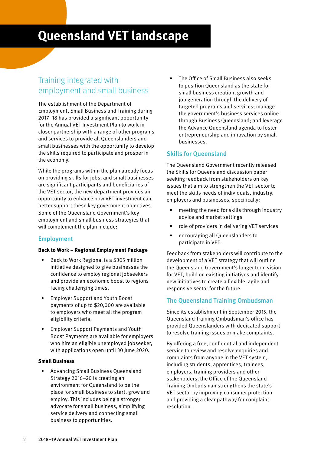## **Queensland VET landscape**

### Training integrated with employment and small business

The establishment of the Department of Employment, Small Business and Training during 2017–18 has provided a significant opportunity for the Annual VET Investment Plan to work in closer partnership with a range of other programs and services to provide all Queenslanders and small businesses with the opportunity to develop the skills required to participate and prosper in the economy.

While the programs within the plan already focus on providing skills for jobs, and small businesses are significant participants and beneficiaries of the VET sector, the new department provides an opportunity to enhance how VET investment can better support these key government objectives. Some of the Queensland Government's key employment and small business strategies that will complement the plan include:

#### Employment

#### **Back to Work – Regional Employment Package**

- Back to Work Regional is a \$305 million initiative designed to give businesses the confidence to employ regional jobseekers and provide an economic boost to regions facing challenging times.
- Employer Support and Youth Boost payments of up to \$20,000 are available to employers who meet all the program eligibility criteria.
- Employer Support Payments and Youth Boost Payments are available for employers who hire an eligible unemployed jobseeker, with applications open until 30 June 2020.

#### **Small Business**

• Advancing Small Business Queensland Strategy 2016–20 is creating an environment for Queensland to be the place for small business to start, grow and employ. This includes being a stronger advocate for small business, simplifying service delivery and connecting small business to opportunities.

• The Office of Small Business also seeks to position Queensland as the state for small business creation, growth and job generation through the delivery of targeted programs and services; manage the government's business services online through Business Queensland; and leverage the Advance Queensland agenda to foster entrepreneurship and innovation by small businesses.

#### Skills for Queensland

The Queensland Government recently released the Skills for Queensland discussion paper seeking feedback from stakeholders on key issues that aim to strengthen the VET sector to meet the skills needs of individuals, industry, employers and businesses, specifically:

- meeting the need for skills through industry advice and market settings
- role of providers in delivering VET services
- encouraging all Queenslanders to participate in VET.

Feedback from stakeholders will contribute to the development of a VET strategy that will outline the Queensland Government's longer term vision for VET, build on existing initiatives and identify new initiatives to create a flexible, agile and responsive sector for the future.

#### The Queensland Training Ombudsman

Since its establishment in September 2015, the Queensland Training Ombudsman's office has provided Queenslanders with dedicated support to resolve training issues or make complaints.

By offering a free, confidential and independent service to review and resolve enquiries and complaints from anyone in the VET system, including students, apprentices, trainees, employers, training providers and other stakeholders, the Office of the Queensland Training Ombudsman strengthens the state's VET sector by improving consumer protection and providing a clear pathway for complaint resolution.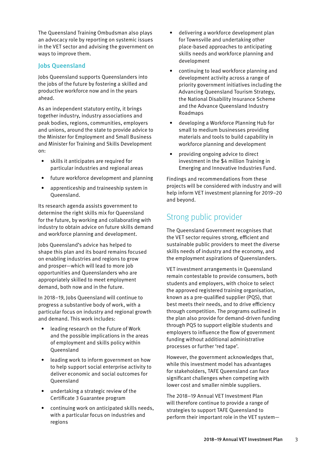The Queensland Training Ombudsman also plays an advocacy role by reporting on systemic issues in the VET sector and advising the government on ways to improve them.

#### Jobs Queensland

Jobs Queensland supports Queenslanders into the jobs of the future by fostering a skilled and productive workforce now and in the years ahead.

As an independent statutory entity, it brings together industry, industry associations and peak bodies, regions, communities, employers and unions, around the state to provide advice to the Minister for Employment and Small Business and Minister for Training and Skills Development on:

- skills it anticipates are required for particular industries and regional areas
- future workforce development and planning
- apprenticeship and traineeship system in Queensland.

Its research agenda assists government to determine the right skills mix for Queensland for the future, by working and collaborating with industry to obtain advice on future skills demand and workforce planning and development.

Jobs Queensland's advice has helped to shape this plan and its board remains focused on enabling industries and regions to grow and prosper—which will lead to more job opportunities and Queenslanders who are appropriately skilled to meet employment demand, both now and in the future.

In 2018–19, Jobs Queensland will continue to progress a substantive body of work, with a particular focus on industry and regional growth and demand. This work includes:

- leading research on the Future of Work and the possible implications in the areas of employment and skills policy within Queensland
- leading work to inform government on how to help support social enterprise activity to deliver economic and social outcomes for Queensland
- undertaking a strategic review of the Certificate 3 Guarantee program
- continuing work on anticipated skills needs, with a particular focus on industries and regions
- delivering a workforce development plan for Townsville and undertaking other place-based approaches to anticipating skills needs and workforce planning and development
- continuing to lead workforce planning and development activity across a range of priority government initiatives including the Advancing Queensland Tourism Strategy, the National Disability Insurance Scheme and the Advance Queensland Industry Roadmaps
- developing a Workforce Planning Hub for small to medium businesses providing materials and tools to build capability in workforce planning and development
- providing ongoing advice to direct investment in the \$4 million Training in Emerging and Innovative Industries Fund.

Findings and recommendations from these projects will be considered with industry and will help inform VET investment planning for 2019–20 and beyond.

## Strong public provider

The Queensland Government recognises that the VET sector requires strong, efficient and sustainable public providers to meet the diverse skills needs of industry and the economy, and the employment aspirations of Queenslanders.

VET investment arrangements in Queensland remain contestable to provide consumers, both students and employers, with choice to select the approved registered training organisation, known as a pre-qualified supplier (PQS), that best meets their needs, and to drive efficiency through competition. The programs outlined in the plan also provide for demand-driven funding through PQS to support eligible students and employers to influence the flow of government funding without additional administrative processes or further 'red tape'.

However, the government acknowledges that, while this investment model has advantages for stakeholders, TAFE Queensland can face significant challenges when competing with lower cost and smaller nimble suppliers.

The 2018–19 Annual VET Investment Plan will therefore continue to provide a range of strategies to support TAFE Queensland to perform their important role in the VET system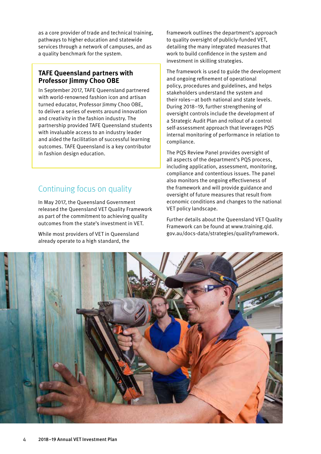as a core provider of trade and technical training, pathways to higher education and statewide services through a network of campuses, and as a quality benchmark for the system.

#### **TAFE Queensland partners with Professor Jimmy Choo OBE**

In September 2017, TAFE Queensland partnered with world-renowned fashion icon and artisan turned educator, Professor Jimmy Choo OBE. to deliver a series of events around innovation and creativity in the fashion industry. The partnership provided TAFE Queensland students with invaluable access to an industry leader and aided the facilitation of successful learning outcomes. TAFE Queensland is a key contributor in fashion design education.

## Continuing focus on quality

In May 2017, the Queensland Government released the Queensland VET Quality Framework as part of the commitment to achieving quality outcomes from the state's investment in VET.

While most providers of VET in Queensland already operate to a high standard, the

framework outlines the department's approach to quality oversight of publicly-funded VET, detailing the many integrated measures that work to build confidence in the system and investment in skilling strategies.

The framework is used to guide the development and ongoing refinement of operational policy, procedures and guidelines, and helps stakeholders understand the system and their roles—at both national and state levels. During 2018–19, further strengthening of oversight controls include the development of a Strategic Audit Plan and rollout of a control self-assessment approach that leverages PQS internal monitoring of performance in relation to compliance.

The PQS Review Panel provides oversight of all aspects of the department's PQS process, including application, assessment, monitoring, compliance and contentious issues. The panel also monitors the ongoing effectiveness of the framework and will provide guidance and oversight of future measures that result from economic conditions and changes to the national VET policy landscape.

Further details about the Queensland VET Quality Framework can be found at [www.training.qld.](https://training.qld.gov.au/docs-data/strategies/qualityframework) [gov.au/docs-data/strategies/qualityframework.](https://training.qld.gov.au/docs-data/strategies/qualityframework)

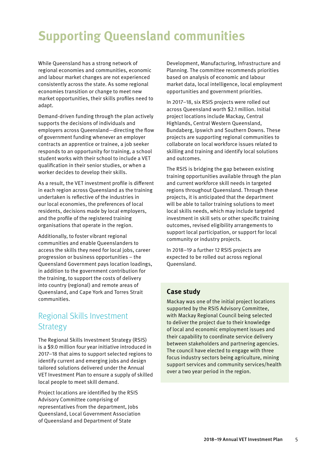## **Supporting Queensland communities**

While Queensland has a strong network of regional economies and communities, economic and labour market changes are not experienced consistently across the state. As some regional economies transition or change to meet new market opportunities, their skills profiles need to adapt.

Demand-driven funding through the plan actively supports the decisions of individuals and employers across Queensland—directing the flow of government funding whenever an employer contracts an apprentice or trainee, a job seeker responds to an opportunity for training, a school student works with their school to include a VET qualification in their senior studies, or when a worker decides to develop their skills.

As a result, the VET investment profile is different in each region across Queensland as the training undertaken is reflective of the industries in our local economies, the preferences of local residents, decisions made by local employers, and the profile of the registered training organisations that operate in the region.

Additionally, to foster vibrant regional communities and enable Queenslanders to access the skills they need for local jobs, career progression or business opportunities – the Queensland Government pays location loadings, in addition to the government contribution for the training, to support the costs of delivery into country (regional) and remote areas of Queensland, and Cape York and Torres Strait communities.

## Regional Skills Investment Strategy

The Regional Skills Investment Strategy (RSIS) is a \$9.0 million four year initiative introduced in 2017–18 that aims to support selected regions to identify current and emerging jobs and design tailored solutions delivered under the Annual VET Investment Plan to ensure a supply of skilled local people to meet skill demand.

Project locations are identified by the RSIS Advisory Committee comprising of representatives from the department, Jobs Queensland, Local Government Association of Queensland and Department of State

Development, Manufacturing, Infrastructure and Planning. The committee recommends priorities based on analysis of economic and labour market data, local intelligence, local employment opportunities and government priorities.

In 2017–18, six RSIS projects were rolled out across Queensland worth \$2.1 million. Initial project locations include Mackay, Central Highlands, Central Western Queensland, Bundaberg, Ipswich and Southern Downs. These projects are supporting regional communities to collaborate on local workforce issues related to skilling and training and identify local solutions and outcomes.

The RSIS is bridging the gap between existing training opportunities available through the plan and current workforce skill needs in targeted regions throughout Queensland. Through these projects, it is anticipated that the department will be able to tailor training solutions to meet local skills needs, which may include targeted investment in skill sets or other specific training outcomes, revised eligibility arrangements to support local participation, or support for local community or industry projects.

In 2018–19 a further 12 RSIS projects are expected to be rolled out across regional Queensland.

#### **Case study**

Mackay was one of the initial project locations supported by the RSIS Advisory Committee, with Mackay Regional Council being selected to deliver the project due to their knowledge of local and economic employment issues and their capability to coordinate service delivery between stakeholders and partnering agencies. The council have elected to engage with three focus industry sectors being agriculture, mining support services and community services/health over a two year period in the region.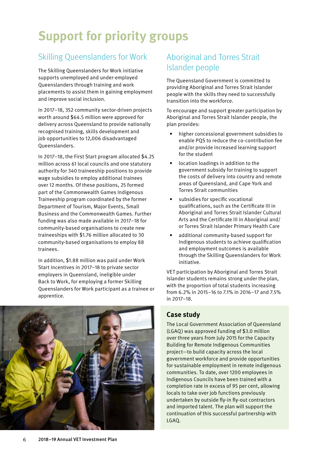## **Support for priority groups**

## Skilling Queenslanders for Work

The Skilling Queenslanders for Work initiative supports unemployed and under-employed Queenslanders through training and work placements to assist them in gaining employment and improve social inclusion.

In 2017–18, 352 community sector-driven projects worth around \$64.5 million were approved for delivery across Queensland to provide nationally recognised training, skills development and job opportunities to 12,006 disadvantaged Queenslanders.

In 2017–18, the First Start program allocated \$4.25 million across 61 local councils and one statutory authority for 340 traineeship positions to provide wage subsidies to employ additional trainees over 12 months. Of these positions, 25 formed part of the Commonwealth Games Indigenous Traineeship program coordinated by the former Department of Tourism, Major Events, Small Business and the Commonwealth Games. Further funding was also made available in 2017–18 for community-based organisations to create new traineeships with \$1.76 million allocated to 30 community-based organisations to employ 88 trainees.

In addition, \$1.88 million was paid under Work Start incentives in 2017–18 to private sector employers in Queensland, ineligible under Back to Work, for employing a former Skilling Queenslanders for Work participant as a trainee or apprentice.



## Aboriginal and Torres Strait Islander people

The Queensland Government is committed to providing Aboriginal and Torres Strait Islander people with the skills they need to successfully transition into the workforce.

To encourage and support greater participation by Aboriginal and Torres Strait Islander people, the plan provides:

- higher concessional government subsidies to enable PQS to reduce the co-contribution fee and/or provide increased learning support for the student
- location loadings in addition to the government subsidy for training to support the costs of delivery into country and remote areas of Queensland, and Cape York and Torres Strait communities
- subsidies for specific vocational qualifications, such as the [Certificate III in](file:///DESBT/Projects/18048_Annual%20Investment%20Plan%20AVIP/Supplied/javascript:void(0))  [Aboriginal and Torres Strait Islander Cultural](file:///DESBT/Projects/18048_Annual%20Investment%20Plan%20AVIP/Supplied/javascript:void(0))  [Arts](file:///DESBT/Projects/18048_Annual%20Investment%20Plan%20AVIP/Supplied/javascript:void(0)) and the Certificate III in Aboriginal and/ or Torres Strait Islander Primary Health Care
- additional community-based support for Indigenous students to achieve qualification and employment outcomes is available through the Skilling Queenslanders for Work initiative.

VET participation by Aboriginal and Torres Strait Islander students remains strong under the plan, with the proportion of total students increasing from 6.2% in 2015–16 to 7.1% in 2016–17 and 7.5% in 2017–18.

#### **Case study**

The Local Government Association of Queensland (LGAQ) was approved funding of \$3.0 million over three years from July 2015 for the Capacity Building for Remote Indigenous Communities project—to build capacity across the local government workforce and provide opportunities for sustainable employment in remote indigenous communities. To date, over 1200 employees in Indigenous Councils have been trained with a completion rate in excess of 95 per cent, allowing locals to take over job functions previously undertaken by outside fly-in fly-out contractors and imported talent. The plan will support the continuation of this successful partnership with LGAQ.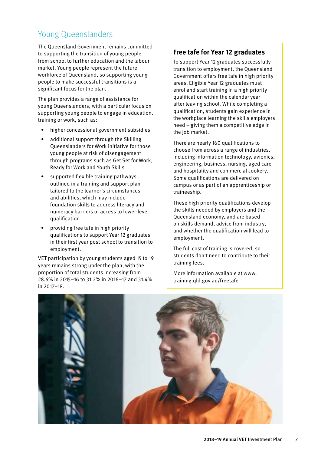## Young Queenslanders

The Queensland Government remains committed to supporting the transition of young people from school to further education and the labour market. Young people represent the future workforce of Queensland, so supporting young people to make successful transitions is a significant focus for the plan.

The plan provides a range of assistance for young Queenslanders, with a particular focus on supporting young people to engage in education, training or work, such as:

- higher concessional government subsidies
- additional support through the Skilling Queenslanders for Work initiative for those young people at risk of disengagement through programs such as Get Set for Work, Ready for Work and Youth Skills
- supported flexible training pathways outlined in a training and support plan tailored to the learner's circumstances and abilities, which may include foundation skills to address literacy and numeracy barriers or access to lower-level qualification
- providing free tafe in high priority qualifications to support Year 12 graduates in their first year post school to transition to employment.

VET participation by young students aged 15 to 19 years remains strong under the plan, with the proportion of total students increasing from 28.6% in 2015–16 to 31.2% in 2016–17 and 31.4% in 2017–18.

#### **Free tafe for Year 12 graduates**

To support Year 12 graduates successfully transition to employment, the Queensland Government offers free tafe in high priority areas. Eligible Year 12 graduates must enrol and start training in a high priority qualification within the calendar year after leaving school. While completing a qualification, students gain experience in the workplace learning the skills employers need – giving them a competitive edge in the job market.

There are nearly 160 qualifications to choose from across a range of industries, including information technology, avionics, engineering, business, nursing, aged care and hospitality and commercial cookery. Some qualifications are delivered on campus or as part of an apprenticeship or traineeship.

These high priority qualifications develop the skills needed by employers and the Queensland economy, and are based on skills demand, advice from industry, and whether the qualification will lead to employment.

The full cost of training is covered, so students don't need to contribute to their training fees.

More information available at www. training.qld.gov.au/freetafe

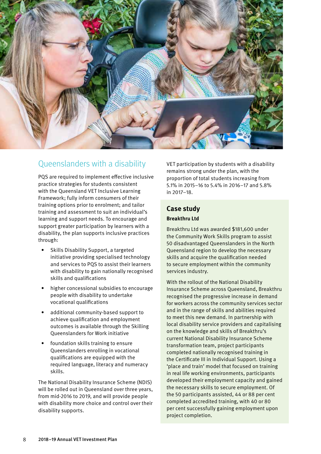

### Queenslanders with a disability

PQS are required to implement effective inclusive practice strategies for students consistent with the Queensland VET Inclusive Learning Framework; fully inform consumers of their training options prior to enrolment; and tailor training and assessment to suit an individual's learning and support needs. To encourage and support greater participation by learners with a disability, the plan supports inclusive practices through:

- Skills Disability Support, a targeted initiative providing specialised technology and services to PQS to assist their learners with disability to gain nationally recognised skills and qualifications
- higher concessional subsidies to encourage people with disability to undertake vocational qualifications
- additional community-based support to achieve qualification and employment outcomes is available through the Skilling Queenslanders for Work initiative
- foundation skills training to ensure Queenslanders enrolling in vocational qualifications are equipped with the required language, literacy and numeracy skills.

The National Disability Insurance Scheme (NDIS) will be rolled out in Queensland over three years, from mid-2016 to 2019, and will provide people with disability more choice and control over their disability supports.

VET participation by students with a disability remains strong under the plan, with the proportion of total students increasing from 5.1% in 2015–16 to 5.4% in 2016–17 and 5.8% in 2017–18.

#### **Case study Breakthru Ltd**

Breakthru Ltd was awarded \$181,600 under the Community Work Skills program to assist 50 disadvantaged Queenslanders in the North Queensland region to develop the necessary skills and acquire the qualification needed to secure employment within the community services industry.

With the rollout of the National Disability Insurance Scheme across Queensland, Breakthru recognised the progressive increase in demand for workers across the community services sector and in the range of skills and abilities required to meet this new demand. In partnership with local disability service providers and capitalising on the knowledge and skills of Breakthru's current National Disability Insurance Scheme transformation team, project participants completed nationally recognised training in the Certificate III in Individual Support. Using a 'place and train' model that focused on training in real life working environments, participants developed their employment capacity and gained the necessary skills to secure employment. Of the 50 participants assisted, 44 or 88 per cent completed accredited training, with 40 or 80 per cent successfully gaining employment upon project completion.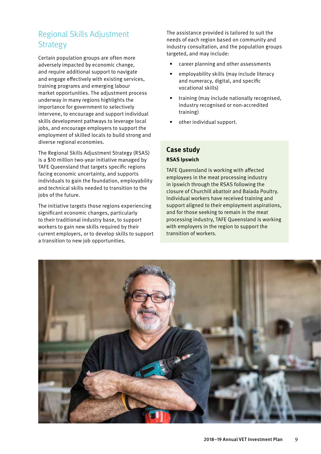## Regional Skills Adjustment **Strategy**

Certain population groups are often more adversely impacted by economic change, and require additional support to navigate and engage effectively with existing services, training programs and emerging labour market opportunities. The adjustment process underway in many regions highlights the importance for government to selectively intervene, to encourage and support individual skills development pathways to leverage local jobs, and encourage employers to support the employment of skilled locals to build strong and diverse regional economies.

The Regional Skills Adjustment Strategy (RSAS) is a \$10 million two-year initiative managed by TAFE Queensland that targets specific regions facing economic uncertainty, and supports individuals to gain the foundation, employability and technical skills needed to transition to the jobs of the future.

The initiative targets those regions experiencing significant economic changes, particularly to their traditional industry base, to support workers to gain new skills required by their current employers, or to develop skills to support a transition to new job opportunities.

The assistance provided is tailored to suit the needs of each region based on community and industry consultation, and the population groups targeted, and may include:

- career planning and other assessments
- employability skills (may include literacy and numeracy, digital, and specific vocational skills)
- training (may include nationally recognised, industry recognised or non-accredited training)
- other individual support.

#### **Case study**

#### **RSAS Ipswich**

TAFE Queensland is working with affected employees in the meat processing industry in Ipswich through the RSAS following the closure of Churchill abattoir and Baiada Poultry. Individual workers have received training and support aligned to their employment aspirations, and for those seeking to remain in the meat processing industry, TAFE Queensland is working with employers in the region to support the transition of workers.

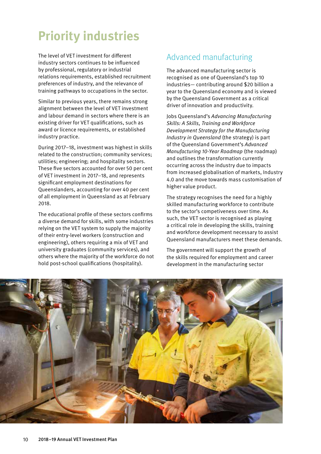## **Priority industries**

The level of VET investment for different industry sectors continues to be influenced by professional, regulatory or industrial relations requirements, established recruitment preferences of industry, and the relevance of training pathways to occupations in the sector.

Similar to previous years, there remains strong alignment between the level of VET investment and labour demand in sectors where there is an existing driver for VET qualifications, such as award or licence requirements, or established industry practice.

During 2017–18, investment was highest in skills related to the construction; community services; utilities; engineering; and hospitality sectors. These five sectors accounted for over 50 per cent of VET investment in 2017–18, and represents significant employment destinations for Queenslanders, accounting for over 40 per cent of all employment in Queensland as at February 2018.

The educational profile of these sectors confirms a diverse demand for skills, with some industries relying on the VET system to supply the majority of their entry-level workers (construction and engineering), others requiring a mix of VET and university graduates (community services), and others where the majority of the workforce do not hold post-school qualifications (hospitality).

## Advanced manufacturing

The advanced manufacturing sector is recognised as one of Queensland's top 10 industries— contributing around \$20 billion a year to the Queensland economy and is viewed by the Queensland Government as a critical driver of innovation and productivity.

Jobs Queensland's *Advancing Manufacturing Skills: A Skills, Training and Workforce Development Strategy for the Manufacturing Industry in Queensland* (the strategy) is part of the Queensland Government's *Advanced Manufacturing 10-Year Roadmap* (the roadmap) and outlines the transformation currently occurring across the industry due to impacts from increased globalisation of markets, Industry 4.0 and the move towards mass customisation of higher value product.

The strategy recognises the need for a highly skilled manufacturing workforce to contribute to the sector's competiveness over time. As such, the VET sector is recognised as playing a critical role in developing the skills, training and workforce development necessary to assist Queensland manufacturers meet these demands.

The government will support the growth of the skills required for employment and career development in the manufacturing sector

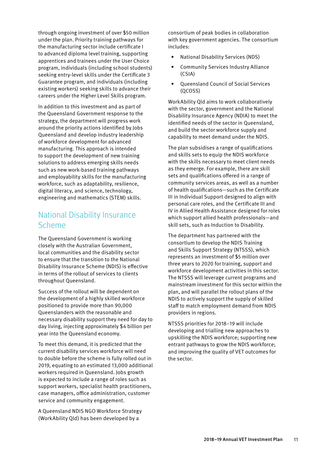through ongoing investment of over \$50 million under the plan. Priority training pathways for the manufacturing sector include certificate I to advanced diploma level training, supporting apprentices and trainees under the User Choice program, individuals (including school students) seeking entry-level skills under the Certificate 3 Guarantee program, and individuals (including existing workers) seeking skills to advance their careers under the Higher Level Skills program.

In addition to this investment and as part of the Queensland Government response to the strategy, the department will progress work around the priority actions identified by Jobs Queensland and develop industry leadership of workforce development for advanced manufacturing. This approach is intended to support the development of new training solutions to address emerging skills needs such as new work-based training pathways and employability skills for the manufacturing workforce, such as adaptability, resilience, digital literacy, and science, technology, engineering and mathematics (STEM) skills.

### National Disability Insurance Scheme

The Queensland Government is working closely with the Australian Government, local communities and the disability sector to ensure that the transition to the National Disability Insurance Scheme (NDIS) is effective in terms of the rollout of services to clients throughout Queensland.

Success of the rollout will be dependent on the development of a highly skilled workforce positioned to provide more than 90,000 Queenslanders with the reasonable and necessary disability support they need for day to day living, injecting approximately \$4 billion per year into the Queensland economy.

To meet this demand, it is predicted that the current disability services workforce will need to double before the scheme is fully rolled out in 2019, equating to an estimated 13,000 additional workers required in Queensland. Jobs growth is expected to include a range of roles such as support workers, specialist health practitioners, case managers, office administration, customer service and community engagement.

A Queensland NDIS NGO Workforce Strategy (WorkAbility Qld) has been developed by a

consortium of peak bodies in collaboration with key government agencies. The consortium includes:

- National Disability Services (NDS)
- Community Services Industry Alliance (CSIA)
- Queensland Council of Social Services (QCOSS)

WorkAbility Qld aims to work collaboratively with the sector, government and the National Disability Insurance Agency (NDIA) to meet the identified needs of the sector in Queensland, and build the sector workforce supply and capability to meet demand under the NDIS.

The plan subsidises a range of qualifications and skills sets to equip the NDIS workforce with the skills necessary to meet client needs as they emerge. For example, there are skill sets and qualifications offered in a range of community services areas, as well as a number of health qualifications—such as the Certificate III in Individual Support designed to align with personal care roles, and the Certificate III and IV in Allied Health Assistance designed for roles which support allied health professionals—and skill sets, such as Induction to Disability.

The department has partnered with the consortium to develop the NDIS Training and Skills Support Strategy (NTSSS), which represents an investment of \$5 million over three years to 2020 for training, support and workforce development activities in this sector. The NTSSS will leverage current programs and mainstream investment for this sector within the plan, and will parallel the rollout plans of the NDIS to actively support the supply of skilled staff to match employment demand from NDIS providers in regions.

NTSSS priorities for 2018–19 will include developing and trialling new approaches to upskilling the NDIS workforce; supporting new entrant pathways to grow the NDIS workforce; and improving the quality of VET outcomes for the sector.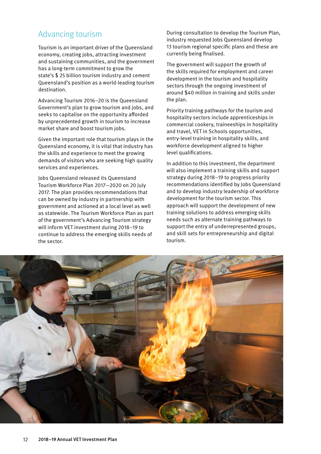### Advancing tourism

Tourism is an important driver of the Queensland economy, creating jobs, attracting investment and sustaining communities, and the government has a long-term commitment to grow the state's \$ 25 billion tourism industry and cement Queensland's position as a world-leading tourism destination.

Advancing Tourism 2016–20 is the Queensland Government's plan to grow tourism and jobs, and seeks to capitalise on the opportunity afforded by unprecedented growth in tourism to increase market share and boost tourism jobs.

Given the important role that tourism plays in the Queensland economy, it is vital that industry has the skills and experience to meet the growing demands of visitors who are seeking high quality services and experiences.

Jobs Queensland released its Queensland Tourism Workforce Plan 2017—2020 on 20 July 2017. The plan provides recommendations that can be owned by industry in partnership with government and actioned at a local level as well as statewide. The Tourism Workforce Plan as part of the government's Advancing Tourism strategy will inform VET investment during 2018–19 to continue to address the emerging skills needs of the sector.

During consultation to develop the Tourism Plan, industry requested Jobs Queensland develop 13 tourism regional specific plans and these are currently being finalised.

The government will support the growth of the skills required for employment and career development in the tourism and hospitality sectors through the ongoing investment of around \$40 million in training and skills under the plan.

Priority training pathways for the tourism and hospitality sectors include apprenticeships in commercial cookery, traineeships in hospitality and travel, VET in Schools opportunities, entry-level training in hospitality skills, and workforce development aligned to higher level qualifications.

In addition to this investment, the department will also implement a training skills and support strategy during 2018–19 to progress priority recommendations identified by Jobs Queensland and to develop industry leadership of workforce development for the tourism sector. This approach will support the development of new training solutions to address emerging skills needs such as alternate training pathways to support the entry of underrepresented groups, and skill sets for entrepreneurship and digital tourism.

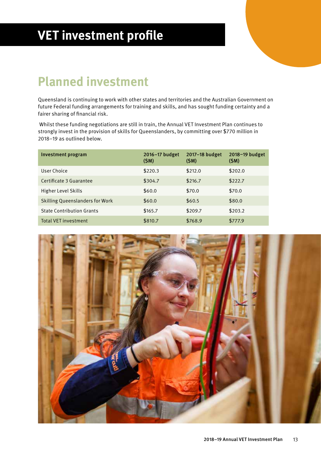## **VET investment profile**

## **Planned investment**

Queensland is continuing to work with other states and territories and the Australian Government on future Federal funding arrangements for training and skills, and has sought funding certainty and a fairer sharing of financial risk.

 Whilst these funding negotiations are still in train, the Annual VET Investment Plan continues to strongly invest in the provision of skills for Queenslanders, by committing over \$770 million in 2018–19 as outlined below.

| Investment program                     | 2016-17 budget<br>(SM) | 2017-18 budget<br>(SM) | 2018-19 budget<br>(SM) |
|----------------------------------------|------------------------|------------------------|------------------------|
| User Choice                            | \$220.3                | \$212.0                | \$202.0                |
| Certificate 3 Guarantee                | \$304.7                | \$216.7                | \$222.7                |
| Higher Level Skills                    | \$60.0                 | \$70.0                 | \$70.0                 |
| <b>Skilling Queenslanders for Work</b> | \$60.0                 | \$60.5                 | \$80.0                 |
| <b>State Contribution Grants</b>       | \$165.7                | \$209.7                | \$203.2                |
| <b>Total VET investment</b>            | \$810.7                | \$768.9                | \$777.9                |

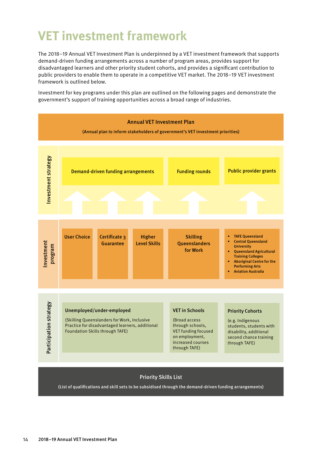## **VET investment framework**

The 2018–19 Annual VET Investment Plan is underpinned by a VET investment framework that supports demand-driven funding arrangements across a number of program areas, provides support for disadvantaged learners and other priority student cohorts, and provides a significant contribution to public providers to enable them to operate in a competitive VET market. The 2018–19 VET investment framework is outlined below.

Investment for key programs under this plan are outlined on the following pages and demonstrate the government's support of training opportunities across a broad range of industries.



(List of qualifications and skill sets to be subsidised through the demand-driven funding arrangements)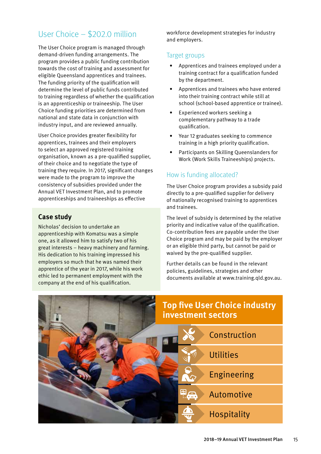## User Choice – \$202.0 million

The User Choice program is managed through demand-driven funding arrangements. The program provides a public funding contribution towards the cost of training and assessment for eligible Queensland apprentices and trainees. The funding priority of the qualification will determine the level of public funds contributed to training regardless of whether the qualification is an apprenticeship or traineeship. The User Choice funding priorities are determined from national and state data in conjunction with industry input, and are reviewed annually.

User Choice provides greater flexibility for apprentices, trainees and their employers to select an approved registered training organisation, known as a pre-qualified supplier, of their choice and to negotiate the type of training they require. In 2017, significant changes were made to the program to improve the consistency of subsidies provided under the Annual VET Investment Plan, and to promote apprenticeships and traineeships as effective

#### **Case study**

Nicholas' decision to undertake an apprenticeship with Komatsu was a simple one, as it allowed him to satisfy two of his great interests – heavy machinery and farming. His dedication to his training impressed his employers so much that he was named their apprentice of the year in 2017, while his work ethic led to permanent employment with the company at the end of his qualification.

workforce development strategies for industry and employers.

#### Target groups

- Apprentices and trainees employed under a training contract for a qualification funded by the department.
- Apprentices and trainees who have entered into their training contract while still at school (school-based apprentice or trainee).
- Experienced workers seeking a complementary pathway to a trade qualification.
- Year 12 graduates seeking to commence training in a high priority qualification.
- Participants on Skilling Queenslanders for Work (Work Skills Traineeships) projects.

#### How is funding allocated?

The User Choice program provides a subsidy paid directly to a pre-qualified supplier for delivery of nationally recognised training to apprentices and trainees.

The level of subsidy is determined by the relative priority and indicative value of the qualification. Co-contribution fees are payable under the User Choice program and may be paid by the employer or an eligible third party, but cannot be paid or waived by the pre-qualified supplier.

Further details can be found in the relevant policies, guidelines, strategies and other documents available at [www.training.qld.gov.au.](http://www.training.qld.gov.au)

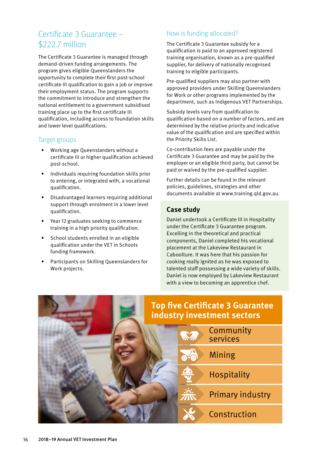## Certificate 3 Guarantee – \$222.7 million

The Certificate 3 Guarantee is managed through demand-driven funding arrangements. The program gives eligible Queenslanders the opportunity to complete their first post-school certificate III qualification to gain a job or improve their employment status. The program supports the commitment to introduce and strengthen the national entitlement to a government subsidised training place up to the first certificate III qualification, including access to foundation skills and lower level qualifications.

#### Target groups

- Working age Queenslanders without a certificate III or higher qualification achieved post-school.
- Individuals requiring foundation skills prior to entering, or integrated with, a vocational qualification.
- Disadvantaged learners requiring additional support through enrolment in a lower level qualification.
- Year 12 graduates seeking to commence training in a high priority qualification.
- School students enrolled in an eligible qualification under the VET in Schools funding framework.
- Participants on Skilling Queenslanders for Work projects.

### How is funding allocated?

The Certificate 3 Guarantee subsidy for a qualification is paid to an approved registered training organisation, known as a pre-qualified supplier, for delivery of nationally recognised training to eligible participants.

Pre-qualified suppliers may also partner with approved providers under Skilling Queenslanders for Work or other programs implemented by the department, such as Indigenous VET Partnerships.

Subsidy levels vary from qualification to qualification based on a number of factors, and are determined by the relative priority and indicative value of the qualification and are specified within the Priority Skills List.

Co-contribution fees are payable under the Certificate 3 Guarantee and may be paid by the employer or an eligible third party, but cannot be paid or waived by the pre-qualified supplier.

Further details can be found in the relevant policies, guidelines, strategies and other documents available at [www.training.qld.gov.au.](http://www.training.qld.gov.au)

#### **Case study**

Daniel undertook a Certificate III in Hospitality under the Certificate 3 Guarantee program. Excelling in the theoretical and practical components, Daniel completed his vocational placement at the Lakeview Restaurant in Caboolture. It was here that his passion for cooking really ignited as he was exposed to talented staff possessing a wide variety of skills. Daniel is now employed by Lakeview Restaurant with a view to becoming an apprentice chef.

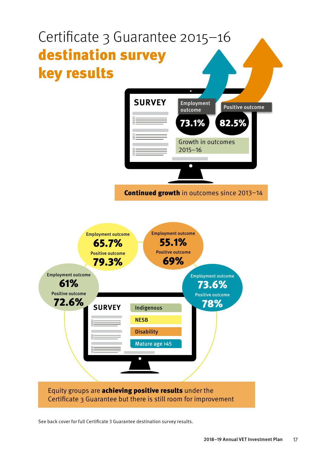

See back cover for full Certificate 3 Guarantee destination survey results.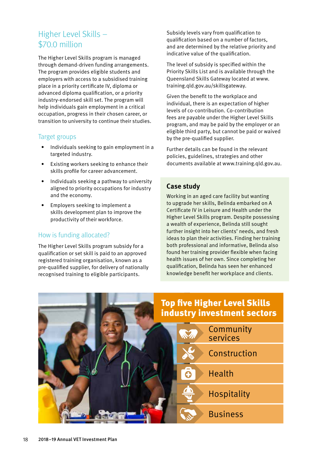## Higher Level Skills – \$70.0 million

The Higher Level Skills program is managed through demand-driven funding arrangements. The program provides eligible students and employers with access to a subsidised training place in a priority certificate IV, diploma or advanced diploma qualification, or a priority industry-endorsed skill set. The program will help individuals gain employment in a critical occupation, progress in their chosen career, or transition to university to continue their studies.

#### Target groups

- Individuals seeking to gain employment in a targeted industry.
- Existing workers seeking to enhance their skills profile for career advancement.
- Individuals seeking a pathway to university aligned to priority occupations for industry and the economy.
- Employers seeking to implement a skills development plan to improve the productivity of their workforce.

#### How is funding allocated?

The Higher Level Skills program subsidy for a qualification or set skill is paid to an approved registered training organisation, known as a pre-qualified supplier, for delivery of nationally recognised training to eligible participants.

Subsidy levels vary from qualification to qualification based on a number of factors, and are determined by the relative priority and indicative value of the qualification.

The level of subsidy is specified within the Priority Skills List and is available through the Queensland Skills Gateway located at www. training.qld.gov.au/skillsgateway.

Given the benefit to the workplace and individual, there is an expectation of higher levels of co-contribution. Co-contribution fees are payable under the Higher Level Skills program, and may be paid by the employer or an eligible third party, but cannot be paid or waived by the pre-qualified supplier.

Further details can be found in the relevant policies, guidelines, strategies and other documents available at [www.training.qld.gov.au.](http://www.training.qld.gov.au)

#### **Case study**

Working in an aged care facility but wanting to upgrade her skills, Belinda embarked on A Certificate IV in Leisure and Health under the Higher Level Skills program. Despite possessing a wealth of experience, Belinda still sought further insight into her clients' needs, and fresh ideas to plan their activities. Finding her training both professional and informative, Belinda also found her training provider flexible when facing health issues of her own. Since completing her qualification, Belinda has seen her enhanced knowledge benefit her workplace and clients.

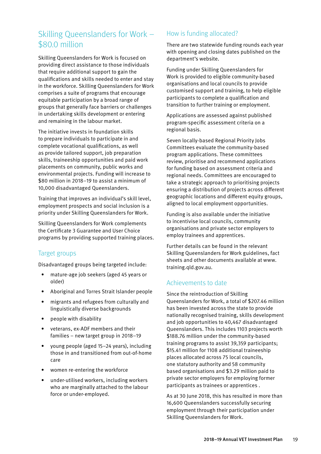## Skilling Queenslanders for Work – \$80.0 million

Skilling Queenslanders for Work is focused on providing direct assistance to those individuals that require additional support to gain the qualifications and skills needed to enter and stay in the workforce. Skilling Queenslanders for Work comprises a suite of programs that encourage equitable participation by a broad range of groups that generally face barriers or challenges in undertaking skills development or entering and remaining in the labour market.

The initiative invests in foundation skills to prepare individuals to participate in and complete vocational qualifications, as well as provide tailored support, job preparation skills, traineeship opportunities and paid work placements on community, public works and environmental projects. Funding will increase to \$80 million in 2018–19 to assist a minimum of 10,000 disadvantaged Queenslanders.

Training that improves an individual's skill level, employment prospects and social inclusion is a priority under Skilling Queenslanders for Work.

Skilling Queenslanders for Work complements the Certificate 3 Guarantee and User Choice programs by providing supported training places.

#### Target groups

Disadvantaged groups being targeted include:

- mature-age job seekers (aged 45 years or older)
- Aboriginal and Torres Strait Islander people
- migrants and refugees from culturally and linguistically diverse backgrounds
- people with disability
- veterans, ex-ADF members and their families – new target group in 2018–19
- young people (aged 15–24 years), including those in and transitioned from out-of-home care
- women re-entering the workforce
- under-utilised workers, including workers who are marginally attached to the labour force or under-employed.

#### How is funding allocated?

There are two statewide funding rounds each year with opening and closing dates published on the department's website.

Funding under Skilling Queenslanders for Work is provided to eligible community-based organisations and local councils to provide customised support and training, to help eligible participants to complete a qualification and transition to further training or employment.

Applications are assessed against published program-specific assessment criteria on a regional basis.

Seven locally-based Regional Priority Jobs Committees evaluate the community-based program applications. These committees review, prioritise and recommend applications for funding based on assessment criteria and regional needs. Committees are encouraged to take a strategic approach to prioritising projects ensuring a distribution of projects across different geographic locations and different equity groups, aligned to local employment opportunities.

Funding is also available under the initiative to incentivise local councils, community organisations and private sector employers to employ trainees and apprentices.

Further details can be found in the relevant Skilling Queenslanders for Work guidelines, fact sheets and other documents available at www. training.qld.gov.au.

#### Achievements to date

Since the reintroduction of Skilling Queenslanders for Work, a total of \$207.46 million has been invested across the state to provide nationally recognised training, skills development and job opportunities to 40,467 disadvantaged Queenslanders. This includes 1103 projects worth \$188.76 million under the community-based training programs to assist 39,359 participants; \$15.41 million for 1108 additional traineeship places allocated across 75 local councils, one statutory authority and 58 community based organisations and \$3.29 million paid to private sector employers for employing former participants as trainees or apprentices .

As at 30 June 2018, this has resulted in more than 16,600 Queenslanders successfully securing employment through their participation under Skilling Queenslanders for Work.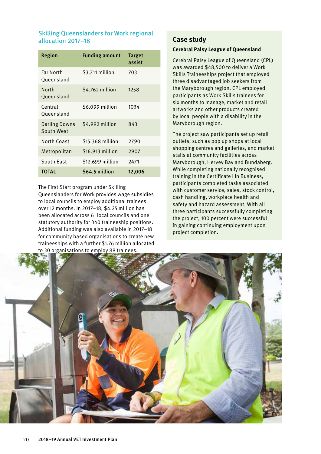#### Skilling Queenslanders for Work regional allocation 2017–18

| Region                         | <b>Funding amount</b> | <b>Target</b><br>assist |
|--------------------------------|-----------------------|-------------------------|
| <b>Far North</b><br>Queensland | \$3.711 million       | 703                     |
| North<br>Queensland            | \$4.762 million       | 1258                    |
| Central<br>Oueensland          | \$6.099 million       | 1034                    |
| Darling Downs<br>South West    | \$4.992 million       | 843                     |
| <b>North Coast</b>             | \$15.368 million      | 2790                    |
| Metropolitan                   | \$16.913 million      | 2907                    |
| South East                     | \$12.699 million      | 2471                    |
| <b>TOTAL</b>                   | S64.5 million         | 12,006                  |

The First Start program under Skilling

Queenslanders for Work provides wage subsidies to local councils to employ additional trainees over 12 months. In 2017–18, \$4.25 million has been allocated across 61 local councils and one statutory authority for 340 traineeship positions. Additional funding was also available in 2017–18 for community based organisations to create new traineeships with a further \$1.76 million allocated to 30 organisations to employ 88 trainees.

#### **Case study**

#### **Cerebral Palsy League of Queensland**

Cerebral Palsy League of Queensland (CPL) was awarded \$48,500 to deliver a Work Skills Traineeships project that employed three disadvantaged job seekers from the Maryborough region. CPL employed participants as Work Skills trainees for six months to manage, market and retail artworks and other products created by local people with a disability in the Maryborough region.

The project saw participants set up retail outlets, such as pop up shops at local shopping centres and galleries, and market stalls at community facilities across Maryborough, Hervey Bay and Bundaberg. While completing nationally recognised training in the Certificate I in Business, participants completed tasks associated with customer service, sales, stock control, cash handling, workplace health and safety and hazard assessment. With all three participants successfully completing the project, 100 percent were successful in gaining continuing employment upon project completion.

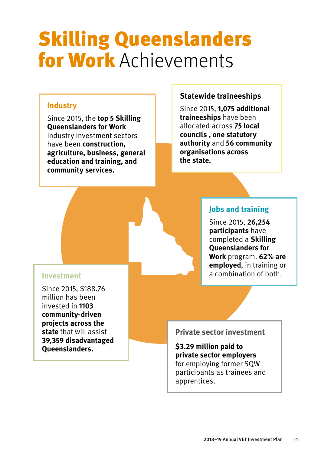# Skilling Queenslanders for Work Achievements

### **Industry**

Since 2015, the **top 5 Skilling Queenslanders for Work** industry investment sectors have been **construction, agriculture, business, general education and training, and community services.**

#### **Statewide traineeships**

Since 2015, **1,075 additional traineeships** have been allocated across **75 local councils , one statutory authority** and **56 community organisations across the state.**

#### **Jobs and training**

Since 2015, **26,254 participants** have completed a **Skilling Queenslanders for Work** program. **62% are employed**, in training or a combination of both.

#### **Investment**

Since 2015, \$188.76 million has been invested in **1103 community-driven projects across the state** that will assist **39,359 disadvantaged Queenslanders.**

**Private sector investment**

**\$3.29 million paid to private sector employers** for employing former SQW participants as trainees and apprentices.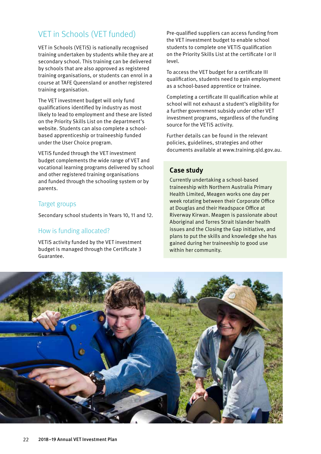## VET in Schools (VET funded)

VET in Schools (VETiS) is nationally recognised training undertaken by students while they are at secondary school. This training can be delivered by schools that are also approved as registered training organisations, or students can enrol in a course at TAFE Queensland or another registered training organisation.

The VET investment budget will only fund qualifications identified by industry as most likely to lead to employment and these are listed on the Priority Skills List on the department's website. Students can also complete a schoolbased apprenticeship or traineeship funded under the User Choice program.

VETiS funded through the VET investment budget complements the wide range of VET and vocational learning programs delivered by school and other registered training organisations and funded through the schooling system or by parents.

#### Target groups

Secondary school students in Years 10, 11 and 12.

#### How is funding allocated?

VETiS activity funded by the VET investment budget is managed through the Certificate 3 Guarantee.

Pre-qualified suppliers can access funding from the VET investment budget to enable school students to complete one VETiS qualification on the Priority Skills List at the certificate I or II level.

To access the VET budget for a certificate III qualification, students need to gain employment as a school-based apprentice or trainee.

Completing a certificate III qualification while at school will not exhaust a student's eligibility for a further government subsidy under other VET investment programs, regardless of the funding source for the VETiS activity.

Further details can be found in the relevant policies, guidelines, strategies and other documents available at [www.training.qld.gov.au.](http://www.training.qld.gov.au)

#### **Case study**

Currently undertaking a school-based traineeship with Northern Australia Primary Health Limited, Meagen works one day per week rotating between their Corporate Office at Douglas and their Headspace Office at Riverway Kirwan. Meagen is passionate about Aboriginal and Torres Strait Islander health issues and the Closing the Gap initiative, and plans to put the skills and knowledge she has gained during her traineeship to good use within her community.

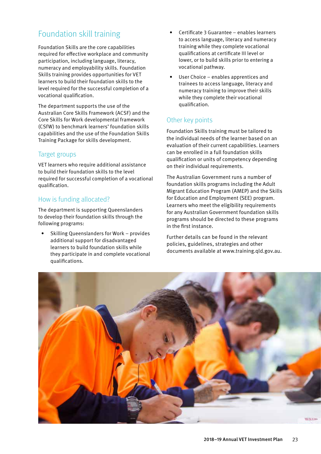## Foundation skill training

Foundation Skills are the core capabilities required for effective workplace and community participation, including language, literacy, numeracy and employability skills. Foundation Skills training provides opportunities for VET learners to build their foundation skills to the level required for the successful completion of a vocational qualification.

The department supports the use of the Australian Core Skills Framework (ACSF) and the Core Skills for Work developmental framework (CSfW) to benchmark learners' foundation skills capabilities and the use of the Foundation Skills Training Package for skills development.

#### Target groups

VET learners who require additional assistance to build their foundation skills to the level required for successful completion of a vocational qualification.

#### How is funding allocated?

The department is supporting Queenslanders to develop their foundation skills through the following programs:

• Skilling Queenslanders for Work – provides additional support for disadvantaged learners to build foundation skills while they participate in and complete vocational qualifications.

- Certificate 3 Guarantee enables learners to access language, literacy and numeracy training while they complete vocational qualifications at certificate III level or lower, or to build skills prior to entering a vocational pathway.
- User Choice enables apprentices and trainees to access language, literacy and numeracy training to improve their skills while they complete their vocational qualification.

#### Other key points

Foundation Skills training must be tailored to the individual needs of the learner based on an evaluation of their current capabilities. Learners can be enrolled in a full foundation skills qualification or units of competency depending on their individual requirements.

The Australian Government runs a number of foundation skills programs including the Adult Migrant Education Program (AMEP) and the Skills for Education and Employment (SEE) program. Learners who meet the eligibility requirements for any Australian Government foundation skills programs should be directed to these programs in the first instance.

Further details can be found in the relevant policies, guidelines, strategies and other documents available at [www.training.qld.gov.au.](http://www.training.qld.gov.au)

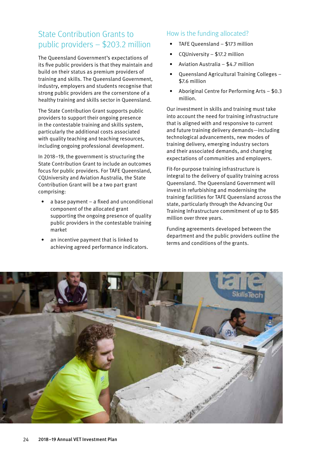## State Contribution Grants to public providers – \$203.2 million

The Queensland Government's expectations of its five public providers is that they maintain and build on their status as premium providers of training and skills. The Queensland Government, industry, employers and students recognise that strong public providers are the cornerstone of a healthy training and skills sector in Queensland.

The State Contribution Grant supports public providers to support their ongoing presence in the contestable training and skills system, particularly the additional costs associated with quality teaching and teaching resources, including ongoing professional development.

In 2018–19, the government is structuring the State Contribution Grant to include an outcomes focus for public providers. For TAFE Queensland, CQUniversity and Aviation Australia, the State Contribution Grant will be a two part grant comprising:

- $a$  base payment  $-$  a fixed and unconditional component of the allocated grant supporting the ongoing presence of quality public providers in the contestable training market
- an incentive payment that is linked to achieving agreed performance indicators.

#### How is the funding allocated?

- TAFE Queensland \$173 million
- CQUniversity \$17.2 million
- Aviation Australia \$4.7 million
- Queensland Agricultural Training Colleges \$7.6 million
- Aboriginal Centre for Performing Arts \$0.3 million.

Our investment in skills and training must take into account the need for training infrastructure that is aligned with and responsive to current and future training delivery demands—including technological advancements, new modes of training delivery, emerging industry sectors and their associated demands, and changing expectations of communities and employers.

Fit-for-purpose training infrastructure is integral to the delivery of quality training across Queensland. The Queensland Government will invest in refurbishing and modernising the training facilities for TAFE Queensland across the state, particularly through the Advancing Our Training Infrastructure commitment of up to \$85 million over three years.

Funding agreements developed between the department and the public providers outline the terms and conditions of the grants.

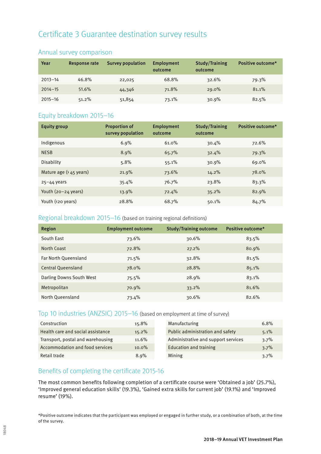## Certificate 3 Guarantee destination survey results

| Year        | Response rate | <b>Survey population</b> | Employment<br>outcome | <b>Study/Training</b><br>outcome | Positive outcome* |
|-------------|---------------|--------------------------|-----------------------|----------------------------------|-------------------|
| $2013 - 14$ | 46.8%         | 22,025                   | 68.8%                 | 32.6%                            | 79.3%             |
| $2014 - 15$ | 51.6%         | 44,346                   | 71.8%                 | $29.0\%$                         | 81.1%             |
| $2015 - 16$ | 51.2%         | 51,854                   | 73.1%                 | 30.9%                            | 82.5%             |

#### Annual survey comparison

#### Equity breakdown 2015–16

| <b>Equity group</b>              | <b>Proportion of</b><br>survey population | Employment<br>outcome | Study/Training<br>outcome | Positive outcome* |
|----------------------------------|-------------------------------------------|-----------------------|---------------------------|-------------------|
| Indigenous                       | 6.9%                                      | 61.0%                 | 30.4%                     | 72.6%             |
| <b>NESB</b>                      | 8.9%                                      | 65.7%                 | 32.4%                     | 79.3%             |
| Disability                       | 5.8%                                      | 55.1%                 | 30.9%                     | 69.0%             |
| Mature age $(245 \text{ years})$ | 21.9%                                     | 73.6%                 | 14.2%                     | 78.0%             |
| $25 - 44$ years                  | 35.4%                                     | 76.7%                 | 23.8%                     | 83.3%             |
| Youth $(20-24 \text{ years})$    | 13.9%                                     | 72.4%                 | 35.2%                     | 82.9%             |
| Youth (<20 years)                | 28.8%                                     | 68.7%                 | 50.1%                     | 84.7%             |

#### Regional breakdown 2015–16 (based on training regional definitions)

| Region                    | <b>Employment outcome</b> | <b>Study/Training outcome</b> | Positive outcome* |
|---------------------------|---------------------------|-------------------------------|-------------------|
| South East                | 73.6%                     | $30.6\%$                      | 83.5%             |
| North Coast               | 72.8%                     | $27.2\%$                      | 80.9%             |
| Far North Queensland      | 71.5%                     | 32.8%                         | 81.5%             |
| <b>Central Queensland</b> | 78.0%                     | 28.8%                         | 85.1%             |
| Darling Downs South West  | 75.5%                     | 28.9%                         | 83.1%             |
| Metropolitan              | 70.9%                     | 33.2%                         | 81.6%             |
| North Queensland          | 73.4%                     | 30.6%                         | 82.6%             |

#### Top 10 industries (ANZSIC) 2015–16 (based on employment at time of survey)

| Construction                      | 15.8%    | Manufacturing                       | 6.8% |
|-----------------------------------|----------|-------------------------------------|------|
| Health care and social assistance | 15.2%    | Public administration and safety    | 5.1% |
| Transport, postal and warehousing | $11.6\%$ | Administrative and support services | 3.7% |
| Accommodation and food services   | $10.0\%$ | Education and training              | 3.7% |
| Retail trade                      | 8.9%     | Mining                              | 3.7% |

#### Benefits of completing the certificate 2015-16

The most common benefits following completion of a certificate course were 'Obtained a job' (25.7%), 'Improved general education skills' (19.3%), 'Gained extra skills for current job' (19.1%) and 'Improved resume' (19%).

\*Positive outcome indicates that the participant was employed or engaged in further study, or a combination of both, at the time of the survey.